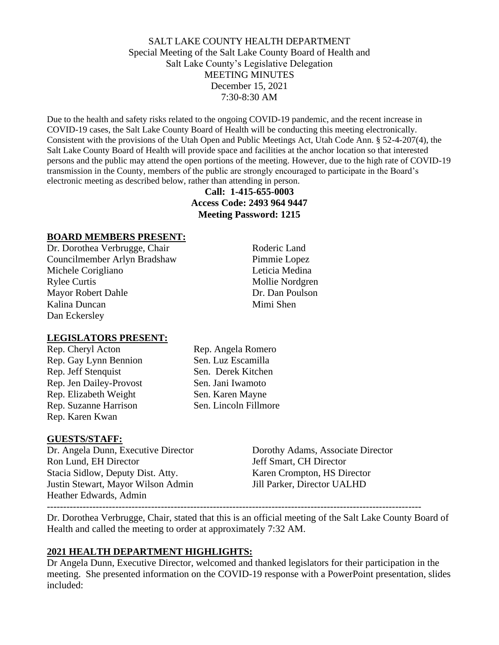## SALT LAKE COUNTY HEALTH DEPARTMENT Special Meeting of the Salt Lake County Board of Health and Salt Lake County's Legislative Delegation MEETING MINUTES December 15, 2021 7:30-8:30 AM

Due to the health and safety risks related to the ongoing COVID-19 pandemic, and the recent increase in COVID-19 cases, the Salt Lake County Board of Health will be conducting this meeting electronically. Consistent with the provisions of the Utah Open and Public Meetings Act, Utah Code Ann. § 52-4-207(4), the Salt Lake County Board of Health will provide space and facilities at the anchor location so that interested persons and the public may attend the open portions of the meeting. However, due to the high rate of COVID-19 transmission in the County, members of the public are strongly encouraged to participate in the Board's electronic meeting as described below, rather than attending in person.

# **Call: 1-415-655-0003 Access Code: 2493 964 9447 Meeting Password: 1215**

### **BOARD MEMBERS PRESENT:**

Dr. Dorothea Verbrugge, Chair Roderic Land Councilmember Arlyn Bradshaw Pimmie Lopez Michele Corigliano Leticia Medina Rylee Curtis Mollie Nordgren Mayor Robert Dahle Dr. Dan Poulson Kalina Duncan Mimi Shen Dan Eckersley

#### **LEGISLATORS PRESENT:**

Rep. Gay Lynn Bennion Sen. Luz Escamilla Rep. Jeff Stenquist Sen. Derek Kitchen Rep. Jen Dailey-Provost Sen. Jani Iwamoto Rep. Elizabeth Weight Sen. Karen Mayne Rep. Suzanne Harrison Sen. Lincoln Fillmore Rep. Karen Kwan

Rep. Cheryl Acton Rep. Angela Romero

#### **GUESTS/STAFF:**

Dr. Angela Dunn, Executive Director Dorothy Adams, Associate Director Ron Lund, EH Director Jeff Smart, CH Director Stacia Sidlow, Deputy Dist. Atty. Karen Crompton, HS Director Justin Stewart, Mayor Wilson Admin Jill Parker, Director UALHD Heather Edwards, Admin

-------------------------------------------------------------------------------------------------------------------

Dr. Dorothea Verbrugge, Chair, stated that this is an official meeting of the Salt Lake County Board of Health and called the meeting to order at approximately 7:32 AM.

### **2021 HEALTH DEPARTMENT HIGHLIGHTS:**

Dr Angela Dunn, Executive Director, welcomed and thanked legislators for their participation in the meeting. She presented information on the COVID-19 response with a PowerPoint presentation, slides included: